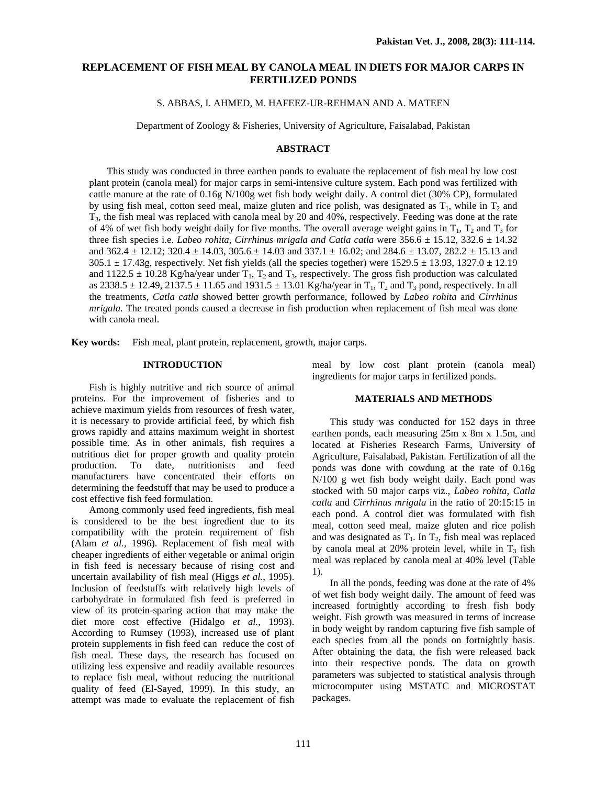# **REPLACEMENT OF FISH MEAL BY CANOLA MEAL IN DIETS FOR MAJOR CARPS IN FERTILIZED PONDS**

S. ABBAS, I. AHMED, M. HAFEEZ-UR-REHMAN AND A. MATEEN

Department of Zoology & Fisheries, University of Agriculture, Faisalabad, Pakistan

## **ABSTRACT**

 This study was conducted in three earthen ponds to evaluate the replacement of fish meal by low cost plant protein (canola meal) for major carps in semi-intensive culture system. Each pond was fertilized with cattle manure at the rate of 0.16g N/100g wet fish body weight daily. A control diet (30% CP), formulated by using fish meal, cotton seed meal, maize gluten and rice polish, was designated as  $T_1$ , while in  $T_2$  and  $T_3$ , the fish meal was replaced with canola meal by 20 and 40%, respectively. Feeding was done at the rate of 4% of wet fish body weight daily for five months. The overall average weight gains in  $T_1$ ,  $T_2$  and  $T_3$  for three fish species i.e. *Labeo rohita, Cirrhinus mrigala and Catla catla* were  $356.6 \pm 15.12$ ,  $332.6 \pm 14.32$ and  $362.4 \pm 12.12$ ;  $320.4 \pm 14.03$ ,  $305.6 \pm 14.03$  and  $337.1 \pm 16.02$ ; and  $284.6 \pm 13.07$ ,  $282.2 \pm 15.13$  and  $305.1 \pm 17.43$ g, respectively. Net fish yields (all the species together) were  $1529.5 \pm 13.93$ ,  $1327.0 \pm 12.19$ and 1122.5  $\pm$  10.28 Kg/ha/year under T<sub>1</sub>, T<sub>2</sub> and T<sub>3</sub>, respectively. The gross fish production was calculated as 2338.5  $\pm$  12.49, 2137.5  $\pm$  11.65 and 1931.5  $\pm$  13.01 Kg/ha/year in T<sub>1</sub>, T<sub>2</sub> and T<sub>3</sub> pond, respectively. In all the treatments, *Catla catla* showed better growth performance, followed by *Labeo rohita* and *Cirrhinus mrigala.* The treated ponds caused a decrease in fish production when replacement of fish meal was done with canola meal.

**Key words:** Fish meal, plant protein, replacement, growth, major carps.

## **INTRODUCTION**

 Fish is highly nutritive and rich source of animal proteins. For the improvement of fisheries and to achieve maximum yields from resources of fresh water, it is necessary to provide artificial feed, by which fish grows rapidly and attains maximum weight in shortest possible time. As in other animals, fish requires a nutritious diet for proper growth and quality protein production. To date, nutritionists and feed manufacturers have concentrated their efforts on determining the feedstuff that may be used to produce a cost effective fish feed formulation.

Among commonly used feed ingredients, fish meal is considered to be the best ingredient due to its compatibility with the protein requirement of fish (Alam *et al.,* 1996). Replacement of fish meal with cheaper ingredients of either vegetable or animal origin in fish feed is necessary because of rising cost and uncertain availability of fish meal (Higgs *et al.*, 1995). Inclusion of feedstuffs with relatively high levels of carbohydrate in formulated fish feed is preferred in view of its protein-sparing action that may make the diet more cost effective (Hidalgo *et al.,* 1993). According to Rumsey (1993), increased use of plant protein supplements in fish feed can reduce the cost of fish meal. These days, the research has focused on utilizing less expensive and readily available resources to replace fish meal, without reducing the nutritional quality of feed (El-Sayed, 1999). In this study, an attempt was made to evaluate the replacement of fish

meal by low cost plant protein (canola meal) ingredients for major carps in fertilized ponds.

### **MATERIALS AND METHODS**

 This study was conducted for 152 days in three earthen ponds, each measuring 25m x 8m x 1.5m, and located at Fisheries Research Farms, University of Agriculture, Faisalabad, Pakistan. Fertilization of all the ponds was done with cowdung at the rate of 0.16g N/100 g wet fish body weight daily. Each pond was stocked with 50 major carps viz., *Labeo rohita*, *Catla catla* and *Cirrhinus mrigala* in the ratio of 20:15:15 in each pond. A control diet was formulated with fish meal, cotton seed meal, maize gluten and rice polish and was designated as  $T_1$ . In  $T_2$ , fish meal was replaced by canola meal at 20% protein level, while in  $T_3$  fish meal was replaced by canola meal at 40% level (Table 1).

In all the ponds, feeding was done at the rate of 4% of wet fish body weight daily. The amount of feed was increased fortnightly according to fresh fish body weight. Fish growth was measured in terms of increase in body weight by random capturing five fish sample of each species from all the ponds on fortnightly basis. After obtaining the data, the fish were released back into their respective ponds. The data on growth parameters was subjected to statistical analysis through microcomputer using MSTATC and MICROSTAT packages.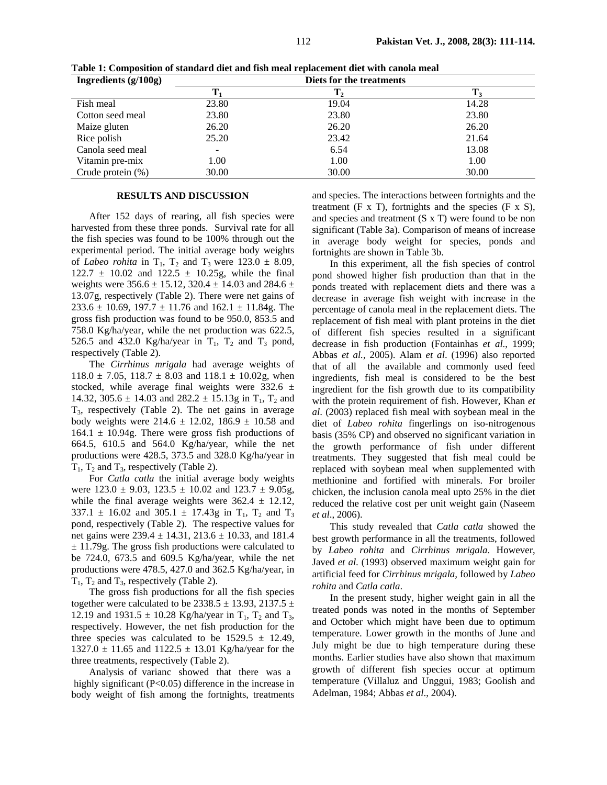| Ingredients $(g/100g)$ |       | Diets for the treatments |       |
|------------------------|-------|--------------------------|-------|
|                        |       |                          |       |
| Fish meal              | 23.80 | 19.04                    | 14.28 |
| Cotton seed meal       | 23.80 | 23.80                    | 23.80 |
| Maize gluten           | 26.20 | 26.20                    | 26.20 |
| Rice polish            | 25.20 | 23.42                    | 21.64 |
| Canola seed meal       |       | 6.54                     | 13.08 |
| Vitamin pre-mix        | 00.1  | 1.00                     | 1.00  |
| Crude protein $(\%)$   | 30.00 | 30.00                    | 30.00 |

**Table 1: Composition of standard diet and fish meal replacement diet with canola meal** 

#### **RESULTS AND DISCUSSION**

 After 152 days of rearing, all fish species were harvested from these three ponds. Survival rate for all the fish species was found to be 100% through out the experimental period. The initial average body weights of *Labeo rohita* in  $T_1$ ,  $T_2$  and  $T_3$  were 123.0  $\pm$  8.09,  $122.7 \pm 10.02$  and  $122.5 \pm 10.25$ g, while the final weights were  $356.6 \pm 15.12$ ,  $320.4 \pm 14.03$  and  $284.6 \pm 14.03$ 13.07g, respectively (Table 2). There were net gains of  $233.6 \pm 10.69$ ,  $197.7 \pm 11.76$  and  $162.1 \pm 11.84$ g. The gross fish production was found to be 950.0, 853.5 and 758.0 Kg/ha/year, while the net production was 622.5, 526.5 and 432.0 Kg/ha/year in  $T_1$ ,  $T_2$  and  $T_3$  pond, respectively (Table 2).

 The *Cirrhinus mrigala* had average weights of  $118.0 \pm 7.05$ ,  $118.7 \pm 8.03$  and  $118.1 \pm 10.02$ g, when stocked, while average final weights were  $332.6 \pm$ 14.32, 305.6  $\pm$  14.03 and 282.2  $\pm$  15.13g in T<sub>1</sub>, T<sub>2</sub> and  $T_3$ , respectively (Table 2). The net gains in average body weights were  $214.6 \pm 12.02$ ,  $186.9 \pm 10.58$  and  $164.1 \pm 10.94$ g. There were gross fish productions of 664.5, 610.5 and 564.0 Kg/ha/year, while the net productions were 428.5, 373.5 and 328.0 Kg/ha/year in  $T_1$ ,  $T_2$  and  $T_3$ , respectively (Table 2).

For *Catla catla* the initial average body weights were  $123.0 \pm 9.03$ ,  $123.5 \pm 10.02$  and  $123.7 \pm 9.05$ g, while the final average weights were  $362.4 \pm 12.12$ , 337.1  $\pm$  16.02 and 305.1  $\pm$  17.43g in T<sub>1</sub>, T<sub>2</sub> and T<sub>3</sub> pond, respectively (Table 2). The respective values for net gains were  $239.4 \pm 14.31$ ,  $213.6 \pm 10.33$ , and 181.4  $\pm$  11.79g. The gross fish productions were calculated to be 724.0, 673.5 and 609.5 Kg/ha/year, while the net productions were 478.5, 427.0 and 362.5 Kg/ha/year, in  $T_1$ ,  $T_2$  and  $T_3$ , respectively (Table 2).

 The gross fish productions for all the fish species together were calculated to be 2338.5  $\pm$  13.93, 2137.5  $\pm$ 12.19 and 1931.5  $\pm$  10.28 Kg/ha/year in T<sub>1</sub>, T<sub>2</sub> and T<sub>3</sub>, respectively. However, the net fish production for the three species was calculated to be  $1529.5 \pm 12.49$ ,  $1327.0 \pm 11.65$  and  $1122.5 \pm 13.01$  Kg/ha/year for the three treatments, respectively (Table 2).

Analysis of varianc showed that there was a highly significant (P<0.05) difference in the increase in body weight of fish among the fortnights, treatments and species. The interactions between fortnights and the treatment  $(F \times T)$ , fortnights and the species  $(F \times S)$ , and species and treatment (S x T) were found to be non significant (Table 3a). Comparison of means of increase in average body weight for species, ponds and fortnights are shown in Table 3b.

In this experiment, all the fish species of control pond showed higher fish production than that in the ponds treated with replacement diets and there was a decrease in average fish weight with increase in the percentage of canola meal in the replacement diets. The replacement of fish meal with plant proteins in the diet of different fish species resulted in a significant decrease in fish production (Fontainhas *et al*., 1999; Abbas *et al.,* 2005). Alam *et al*. (1996) also reported that of all the available and commonly used feed ingredients, fish meal is considered to be the best ingredient for the fish growth due to its compatibility with the protein requirement of fish. However, Khan *et al*. (2003) replaced fish meal with soybean meal in the diet of *Labeo rohita* fingerlings on iso-nitrogenous basis (35% CP) and observed no significant variation in the growth performance of fish under different treatments. They suggested that fish meal could be replaced with soybean meal when supplemented with methionine and fortified with minerals. For broiler chicken, the inclusion canola meal upto 25% in the diet reduced the relative cost per unit weight gain (Naseem *et al*., 2006).

This study revealed that *Catla catla* showed the best growth performance in all the treatments, followed by *Labeo rohita* and *Cirrhinus mrigala*. However, Javed *et al*. (1993) observed maximum weight gain for artificial feed for *Cirrhinus mrigala,* followed by *Labeo rohita* and *Catla catla*.

In the present study, higher weight gain in all the treated ponds was noted in the months of September and October which might have been due to optimum temperature. Lower growth in the months of June and July might be due to high temperature during these months. Earlier studies have also shown that maximum growth of different fish species occur at optimum temperature (Villaluz and Unggui, 1983; Goolish and Adelman, 1984; Abbas *et al*., 2004).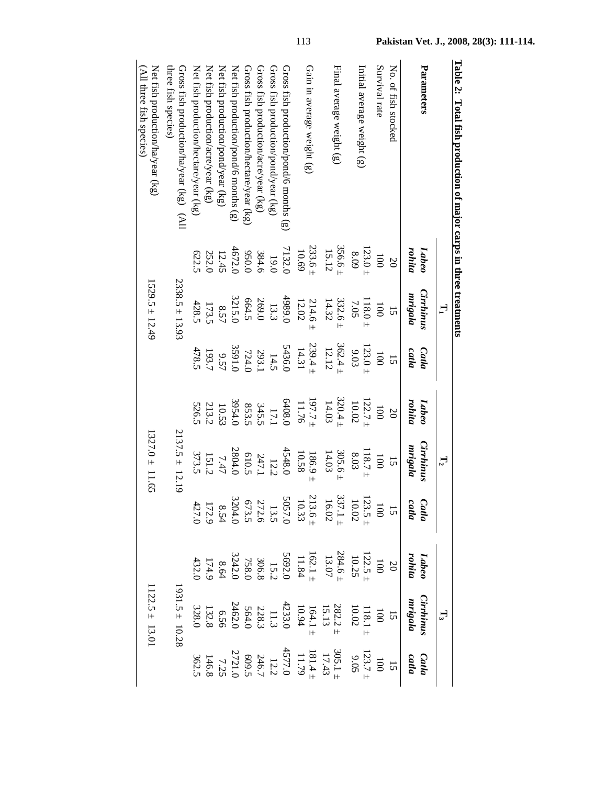|                                                                |                      | $\mathbf{H}$                |                      |                      | $\mathbb{L}_2$       |                                                                                                                                                                                                                                                                                               |                                                                                                                                                                                                                                                                                                     | $\mathbb{L}^3$                                                                                                                                                                                                                                                                              |                                                                                                                                                                                                                                                                                             |
|----------------------------------------------------------------|----------------------|-----------------------------|----------------------|----------------------|----------------------|-----------------------------------------------------------------------------------------------------------------------------------------------------------------------------------------------------------------------------------------------------------------------------------------------|-----------------------------------------------------------------------------------------------------------------------------------------------------------------------------------------------------------------------------------------------------------------------------------------------------|---------------------------------------------------------------------------------------------------------------------------------------------------------------------------------------------------------------------------------------------------------------------------------------------|---------------------------------------------------------------------------------------------------------------------------------------------------------------------------------------------------------------------------------------------------------------------------------------------|
| Parameters                                                     | rohita<br>Labeo      | <b>Cirrhinus</b><br>mrigala | Catha<br>catla       | rohita<br>Labeo      | Cirrhinus<br>mrigala | Catla<br>catla                                                                                                                                                                                                                                                                                | rohita<br>Labeo                                                                                                                                                                                                                                                                                     | Cirrhinus<br>mrigala                                                                                                                                                                                                                                                                        | Catla<br>catla                                                                                                                                                                                                                                                                              |
| No. of fish stocked                                            | $\overline{0}$       | 15                          | $\overline{5}$       | $\infty$             | 15                   |                                                                                                                                                                                                                                                                                               | $20\,$                                                                                                                                                                                                                                                                                              | 15                                                                                                                                                                                                                                                                                          |                                                                                                                                                                                                                                                                                             |
| Survival rate                                                  | $\overline{00}$      | $\overline{00}$             | $\overline{00}$      | 1000                 | $\overline{00}$      |                                                                                                                                                                                                                                                                                               |                                                                                                                                                                                                                                                                                                     |                                                                                                                                                                                                                                                                                             |                                                                                                                                                                                                                                                                                             |
| Initial average weight (g)                                     | $123.0 \pm$<br>8.09  | $118.0 \pm$<br>7.05         | $123.0 +$<br>9.03    | $122.7 \pm 122.7$    | $118.7\pm$<br>$8.03$ |                                                                                                                                                                                                                                                                                               |                                                                                                                                                                                                                                                                                                     |                                                                                                                                                                                                                                                                                             |                                                                                                                                                                                                                                                                                             |
| Final average weight (g)                                       | $356.6 \pm 15.12$    | $332.6 \pm 14.32$           | $362.4 \pm 12.12$    | $320.4 \pm$<br>14.03 | $305.6 \pm 14.03$    | 15<br>100<br>10.02<br>10.02<br>10.02<br>10.02<br>10.02<br>10.02<br>10.02<br>10.02<br>10.02<br>10.02<br>10.02<br>10.02<br>10.02<br>10.02<br>10.02<br>10.02<br>10.02<br>10.02<br>10.02<br>10.02<br>10.02<br>10.02<br>10.02<br>10.02<br>10.02<br>10.02<br>10.02<br>10.02<br>10.02<br>10.02<br>10 | $\begin{array}{r} 1122.5 \\ 1122.5 \\ 10.25 \\ 13.07 \\ 14.30 \\ 15.40 \\ 17.40 \\ 17.40 \\ 17.40 \\ 17.40 \\ 17.40 \\ 17.40 \\ 17.40 \\ 17.40 \\ 17.40 \\ 17.40 \\ 17.40 \\ 17.40 \\ 17.40 \\ 17.40 \\ 17.40 \\ 17.40 \\ 17.40 \\ 17.40 \\ 17.40 \\ 17.40 \\ 17.40 \\ 17.40 \\ 17.40 \\ 17.40 \\ $ | 100<br>118.1 1<br>10.02<br>13.13<br>15.13<br>164.1 :<br>282.2 +<br>27.13<br>10.02<br>10.02<br>10.02<br>10.02<br>10.02<br>10.02<br>10.02<br>10.02<br>10.02<br>10.02<br>10.02<br>10.02<br>10.02<br>10.02<br>10.02<br>10.02<br>10.03<br>10.03<br>10.03<br>10.03<br>10.03<br>10.03<br>10.03<br> | 1023.7-1<br>123.7-1<br>12.7-1<br>12.7-1<br>12.7-1<br>12.7-1<br>12.7-1<br>12.7-1<br>12.7-1<br>12.7-1<br>12.7-1<br>12.7-1<br>12.7-1<br>12.7-1<br>12.7-1<br>12.7-1<br>12.7<br>12.7<br>12.7<br>12.7<br>12.7<br>12.7<br>12.7<br>12.7<br>12.7<br>12.7<br>12.7<br>12.7<br>12.7<br>12.7<br>12.7<br> |
| Gain in average weight (g)                                     | $233.6 \pm$<br>10.69 | 214.6<br>12.02              | $239.4 \pm$<br>14.31 | $197.7 \pm 7.7$      | 10.58<br>$186.9 \pm$ |                                                                                                                                                                                                                                                                                               |                                                                                                                                                                                                                                                                                                     |                                                                                                                                                                                                                                                                                             |                                                                                                                                                                                                                                                                                             |
| Gross fish production/pond/6 months (g)                        | 7132.0               | 4989.0                      | 5436.0               | 6408.0               | 4548.0               |                                                                                                                                                                                                                                                                                               |                                                                                                                                                                                                                                                                                                     |                                                                                                                                                                                                                                                                                             |                                                                                                                                                                                                                                                                                             |
| Gross fish production/pond/year $(kg)$                         |                      | 13.3                        |                      |                      | 12.2                 |                                                                                                                                                                                                                                                                                               |                                                                                                                                                                                                                                                                                                     |                                                                                                                                                                                                                                                                                             |                                                                                                                                                                                                                                                                                             |
| Gross fish production/acre/year (kg)                           | 19.0<br>384.6        | 269.0<br>664.5              | $\frac{14.5}{724.0}$ | $17.1$<br>345.5      |                      |                                                                                                                                                                                                                                                                                               |                                                                                                                                                                                                                                                                                                     |                                                                                                                                                                                                                                                                                             |                                                                                                                                                                                                                                                                                             |
| Gross fish production/hectare/year (kg)                        | 0.050                |                             |                      | 853.5                | 247.1<br>610.5       |                                                                                                                                                                                                                                                                                               |                                                                                                                                                                                                                                                                                                     |                                                                                                                                                                                                                                                                                             |                                                                                                                                                                                                                                                                                             |
| Net fish production/pond/6 months $(g)$                        | 4672.0               | 3215.0                      | 3591.0               | 3954.0               | 2804.0               |                                                                                                                                                                                                                                                                                               |                                                                                                                                                                                                                                                                                                     |                                                                                                                                                                                                                                                                                             |                                                                                                                                                                                                                                                                                             |
| Net fish production/pond/year (kg)                             | 12.45                | 8.57                        | 9.57                 | 10.53                | 7.47                 |                                                                                                                                                                                                                                                                                               |                                                                                                                                                                                                                                                                                                     |                                                                                                                                                                                                                                                                                             |                                                                                                                                                                                                                                                                                             |
| Net fish production/acre/year (kg)                             | 252.0                | 173.5                       | 193.7                | 213.2<br>526.5       |                      |                                                                                                                                                                                                                                                                                               |                                                                                                                                                                                                                                                                                                     |                                                                                                                                                                                                                                                                                             |                                                                                                                                                                                                                                                                                             |
| Net fish production/hectare/year (kg)                          | 622.5                | 428.5                       | 478.5                |                      | $151.2$<br>373.5     |                                                                                                                                                                                                                                                                                               |                                                                                                                                                                                                                                                                                                     |                                                                                                                                                                                                                                                                                             |                                                                                                                                                                                                                                                                                             |
| three fish species)<br>Gross fish production/ha/year (kg) (All |                      | $2338.5 \pm 13.93$          |                      |                      | $2137.5 \pm 12.19$   |                                                                                                                                                                                                                                                                                               |                                                                                                                                                                                                                                                                                                     | $1931.5 \pm 10.28$                                                                                                                                                                                                                                                                          |                                                                                                                                                                                                                                                                                             |
| Net fish production/ha/year (kg)<br>(All three fish species)   |                      | $1529.5 \pm 12.49$          |                      |                      | $1327.0 \pm 11.65$   |                                                                                                                                                                                                                                                                                               |                                                                                                                                                                                                                                                                                                     | $1122.5 \pm 13.01$                                                                                                                                                                                                                                                                          |                                                                                                                                                                                                                                                                                             |
|                                                                |                      |                             |                      |                      |                      |                                                                                                                                                                                                                                                                                               |                                                                                                                                                                                                                                                                                                     |                                                                                                                                                                                                                                                                                             |                                                                                                                                                                                                                                                                                             |